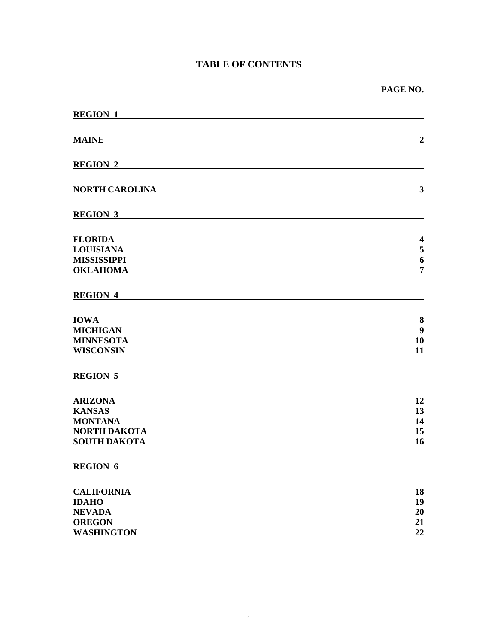# **TABLE OF CONTENTS**

| <b>REGION 1</b>                                                                                 |                                                    |
|-------------------------------------------------------------------------------------------------|----------------------------------------------------|
| <b>MAINE</b>                                                                                    | $\boldsymbol{2}$                                   |
| <b>REGION 2</b>                                                                                 |                                                    |
| <b>NORTH CAROLINA</b>                                                                           | $\mathbf{3}$                                       |
| <b>REGION 3</b>                                                                                 |                                                    |
| <b>FLORIDA</b><br><b>LOUISIANA</b>                                                              | $\overline{\mathbf{4}}$<br>$\overline{\mathbf{5}}$ |
| <b>MISSISSIPPI</b><br><b>OKLAHOMA</b>                                                           | $\boldsymbol{6}$<br>$\overline{7}$                 |
| <b>REGION 4</b>                                                                                 |                                                    |
| <b>IOWA</b><br><b>MICHIGAN</b><br><b>MINNESOTA</b><br><b>WISCONSIN</b>                          | 8<br>$\boldsymbol{9}$<br>10<br>11                  |
| <b>REGION 5</b>                                                                                 |                                                    |
| <b>ARIZONA</b><br><b>KANSAS</b><br><b>MONTANA</b><br><b>NORTH DAKOTA</b><br><b>SOUTH DAKOTA</b> | 12<br>13<br>14<br>15<br>16                         |
| <b>REGION 6</b>                                                                                 |                                                    |
| <b>CALIFORNIA</b><br><b>IDAHO</b><br><b>NEVADA</b><br><b>OREGON</b><br><b>WASHINGTON</b>        | 18<br>19<br>20<br>21<br>22                         |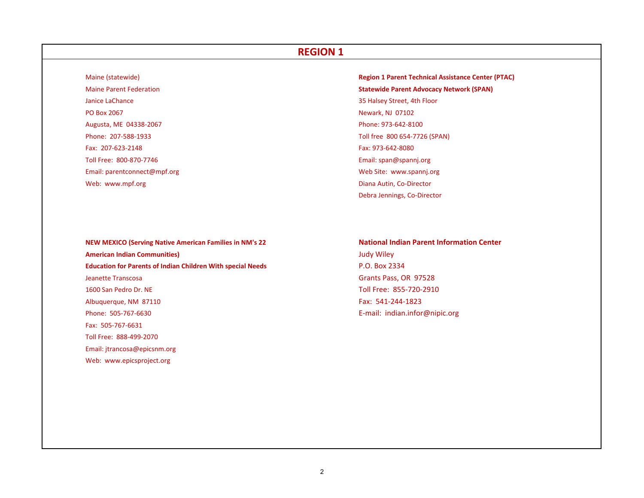#### Maine (statewide)

Maine Parent FederationJanice LaChance 35**PO Box 2067** Augusta, ME 04338-2067 Phone: 973-642-8100 Phone: 207‐588‐1933Fax: 207‐623‐2148Toll Free: 800‐870‐7746Email: parentconnect@mpf.org Web: www.mpf.org

 (statewide) **Region 1 Parent Technical Assistance Center (PTAC) Statewide Parent Advocacy Network (SPAN)** 35 Halsey Street, 4th Floor **Newark, NJ 07102**  Toll free 800 654‐7726 (SPAN) Fax: 973‐642‐8080 Email: span@spannj.org Web Site: www.spannj.org Diana Autin, Co-Director

**NEW MEXICO (Serving Native American Families in NM's <sup>22</sup> National Indian Parent Information Center American Indian Communities)** Judy Wiley **Education for Parents of Indian Children With special Needs** P.O. Box 2334 Jeanette Transcosa 1600 San PedroAlbuquerque, NM 87110 Fax: 541-244-1823 Phone: 505‐767‐6630Fax: 505‐767‐6631Toll Free: 888‐499‐2070 Email: jtrancosa@epicsnm.org Web: www.epicsproject.org

Grants Pass, OR 97528 Toll Free: 855-720-2910 E‐mail: indian.infor@nipic.org

Debra Jennings, Co‐Director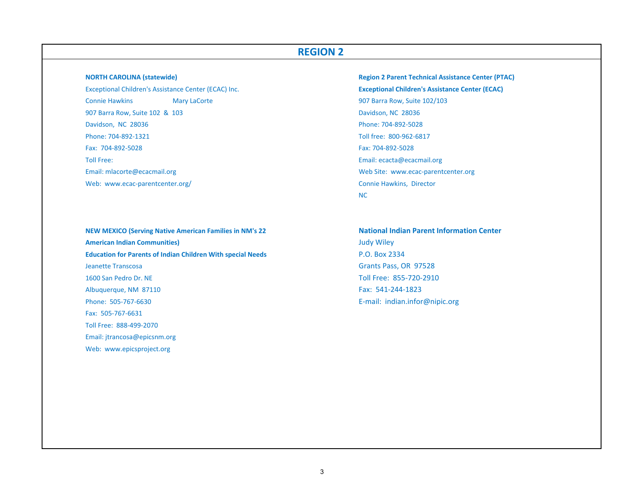**NORTH CAROLINA (statewide)** Exceptional Children's Assistance Center (ECAC) Inc. **Exceptional Children's Assistance Center (ECAC) Connie Hawkins** 907 Barra Row, Suite 102 & 103 Davidson, NC 28036 Davidson, NC 28036 Phone: 704‐892‐5028 Phone: 704‐892‐1321Fax: 704‐892‐5028Toll Free:Email: mlacorte@ecacmail.org Web: www.ecac-parentcenter.org/ Connie Hawkins, Director

**NEW MEXICO (Serving Native American Families in NM's <sup>22</sup> National Indian Parent Information Center American Indian Communities)** Judy Wiley **Education for Parents of Indian Children With special Needs** P.O. Box 2334 **Jeanette Transcosa** 1600 San PedroAlbuquerque, NM 87110 Fax: 541-244-1823 Phone: 505‐767‐6630Fax: 505‐767‐6631Toll Free: 888‐499‐2070Email: jtrancosa@epicsnm.org Web: www.epicsproject.org

 **CAROLINA (statewide) Region 2 Parent Technical Assistance Center (PTAC)** Mary LaCorte **Mary LaCorte 102/103** and Mary LaCorte 102/103 Toll free: 800‐962‐6817 Fax: 704‐892‐5028 Email: ecacta@ecacmail.org Web Site: www.ecac-parentcenter.org NC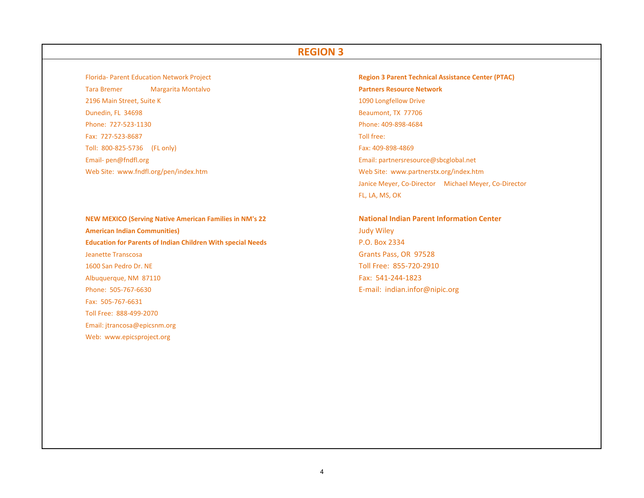Florida‐ Parent Education**Tara Bremer** 2196 Main**Dunedin, FL 34698** Beaumont, TX 77706 Phone: 727‐523‐1130Fax: 727‐523‐8687Toll: 800‐825‐5736Email‐ pen@fndfl.org Email: partnersresource@sbcglobal.net Web Site: www.fndfl.org/pen/index.htm

**NEW MEXICO (Serving Native American Families in NM's <sup>22</sup> National Indian Parent Information Center American Indian Communities)** Judy Wiley **Education for Parents of Indian Children With special Needs** P.O. Box 2334 **Jeanette Transcosa** 1600 San PedroAlbuquerque, NM 87110 Fax: 541-244-1823 Phone: 505‐767‐6630Fax: 505‐767‐6631Toll Free: 888‐499‐2070Email: jtrancosa@epicsnm.org Web: www.epicsproject.org

**Region 3 Parent Technical Assistance Center (PTAC)**  Bremer Margarita Montalvo **Partners Resource Network** 1090 Longfellow Drive Phone: 409‐898‐4684 Toll free: Fax: 409-898-4869 Web Site: www.partnerstx.org/index.htm Janice Meyer, Co‐Director Michael Meyer, Co‐Director FL, LA, MS, OK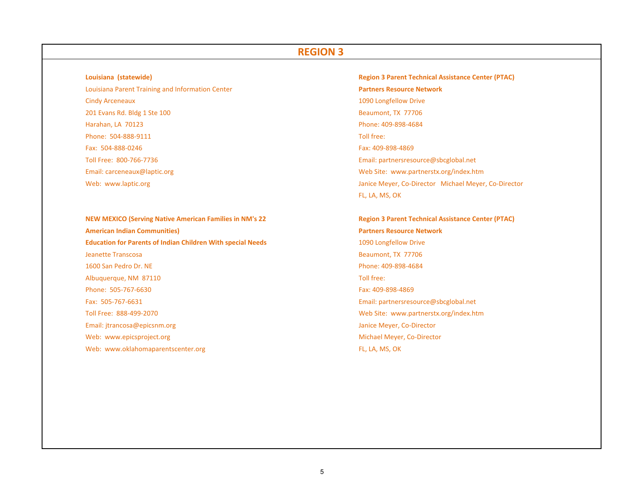**Louisiana**Louisiana Parent Training and Information Center **Partners Resource Network** Cindy Arceneaux 1090 Longfellow Drive 201 Evans Rd. Bldg 1 Ste 100 Beaumont, TX 77706 Harahan, LA 70123 Phone: 409‐898‐4684 Phone: 504‐888‐9111 Toll free: Fax: 504‐888‐0246Toll Free: 800‐766‐7736Email: carceneaux@laptic.org Web: www.laptic.org

**NEW MEXICO (Serving Native American Families in NM's 22 Region 3 Parent Technical Assistance Center (PTAC) American Indian Communities) Education for Parents of Indian Children With special Needs** 1090 Longfellow Drive **Jeanette Transcosa** 1600 San PedroAlbuquerque, NM 87110 **Toll free:** The extended of the extended of the extended of the extended of the extended of the extended of the extended of the extended of the extended of the extended of the extended of the extende Phone: 505‐767‐6630Fax: 505‐767‐6631Toll Free: 888‐499‐2070 WebEmail: jtrancosa@epicsnm.org Web: www.epicsproject.org Web: www.oklahomaparentscenter.org FL, LA, MS, OK

 **(statewide) Region 3 Parent Technical Assistance Center (PTAC)** Fax: 409‐898‐4869 Email: partnersresource@sbcglobal.net Web Site: www.partnerstx.org/index.htm Janice Meyer, Co-Director Michael Meyer, Co-Director FL, LA, MS, OK

 **Indian Communities) Partners Resource Network** Beaumont, TX 77706 Phone: 409-898-4684 Fax: 409‐898‐4869 Email: partnersresource@sbcglobal.net Web Site: www.partnerstx.org/index.htm Janice Meyer, Co-Director Michael Meyer, Co-Director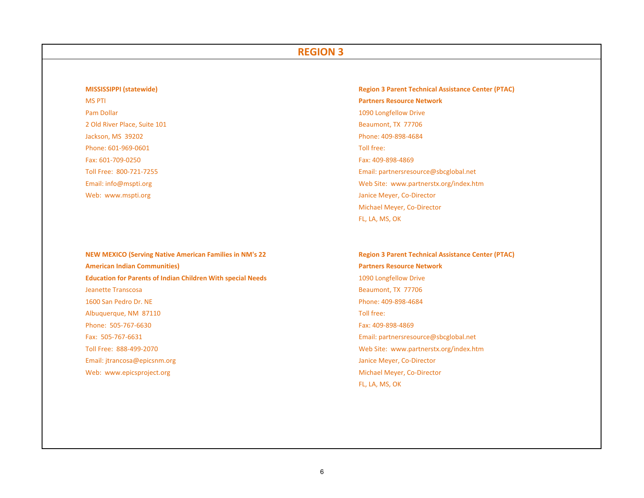## **MISSISSIPPIMS PTI Pam Dollar** 2 Old River Place, Suite 101 **Beaumont, TX 77706** Jackson, MS 39202 Phone: 409‐898‐4684 Phone: 601‐969‐0601Fax: 601‐709‐0250Toll Free: 800‐721‐7255Email: info@mspti.org Web: www.mspti.org

**NEW MEXICO (Serving Native American Families in NM's 22 Region 3 Parent Technical Assistance Center (PTAC) American Indian Communities) Education for Parents of Indian Children With special Needs** 1090 Longfellow Drive **Jeanette Transcosa** 1600 San PedroAlbuquerque, NM 87110 **Toll free:** The extended of the extended of the extended of the extended of the extended of the extended of the extended of the extended of the extended of the extended of the extended of the extende Phone: 505‐767‐6630Fax: 505‐767‐6631Toll Free: 888‐499‐2070 WebEmail: jtrancosa@epicsnm.org Web: www.epicsproject.org

 **(statewide) Region 3 Parent Technical Assistance Center (PTAC)** PTI **Partners Resource Network** 1090 Longfellow Drive Toll free: Fax: 409‐898‐4869 Email: partnersresource@sbcglobal.net Web Site: www.partnerstx.org/index.htm Janice Meyer, Co-Director Michael Meyer, Co‐Director FL, LA, MS, OK

> **Indian Communities) Partners Resource Network** Beaumont, TX 77706 Phone: 409-898-4684 Fax: 409‐898‐4869 Email: partnersresource@sbcglobal.net Web Site: www.partnerstx.org/index.htm Janice Meyer, Co-Director Michael Meyer, Co-Director FL, LA, MS, OK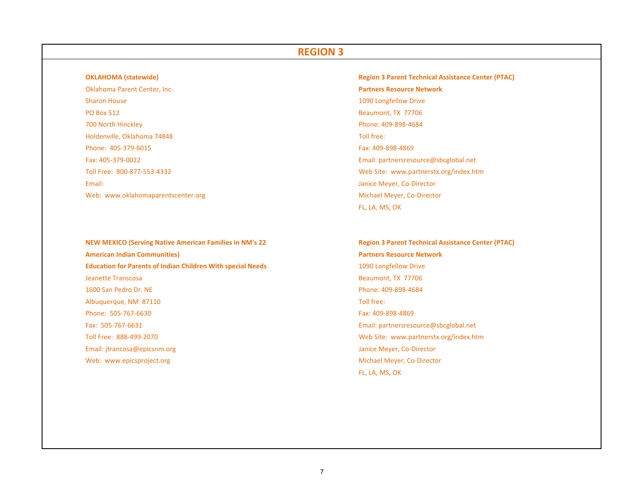#### **OKLAHOMA** (statewide)

Oklahoma Parent Center, Inc. Sharon House **PO Box 512** 700 NorthHoldenville, Oklahoma 74848 Toll free: Phone: 405‐379‐6015Fax: 405‐379‐0022Toll Free: 800‐877‐553‐43322 and the contract of the contract of the contract of the contract of the contract of the contract of the contract of the contract of the contract of the contract of the contract of the contract of the contract of the cont Email:dia and the control of the control of the control of the control of the control of the control of the control of the control of the control of the control of the control of the control of the control of the control of the

**NEW MEXICO (Serving Native American Families in NM's 22 Region 3 Parent Technical Assistance Center (PTAC) American Indian Communities) Education for Parents of Indian Children With special Needs** 1090 Longfellow Drive Jeanette Transcosa 1600 San PedroAlbuquerque, NM 87110 **Toll free:** The extended of the extended of the extended of the extended of the extended of the extended of the extended of the extended of the extended of the extended of the extended of the extende Phone: 505‐767‐6630Fax: 505‐767‐6631Toll Free: 888‐499‐2070 WebEmail: jtrancosa@epicsnm.org Web: www.epicsproject.org

 **(statewide) Region 3 Parent Technical Assistance Center (PTAC) Partners Resource Network** 1090 Longfellow Drive Beaumont, TX 77706 Phone: 409-898-4684 Fax: 409‐898‐4869 Email: partnersresource@sbcglobal.net Web Site: www.partnerstx.org/index.htm Janice Meyer, Co-Director Web: www.oklahomaparentscenter.org Michael Meyer, Co-Director Michael Meyer, Co-Director FL, LA, MS, OK

> **Indian Communities) Partners Resource Network** Beaumont, TX 77706 Phone: 409-898-4684 Fax: 409‐898‐4869 Email: partnersresource@sbcglobal.net Web Site: www.partnerstx.org/index.htm Janice Meyer, Co-Director Michael Meyer, Co-Director FL, LA, MS, OK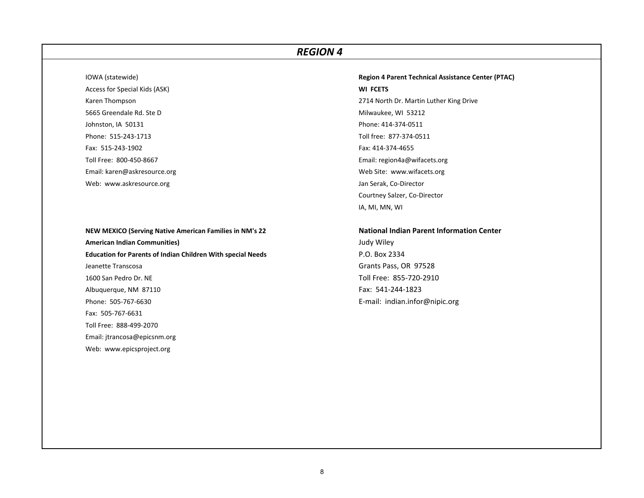IOWA (statewide)

Access for Special Kids (ASK) **WI FCETS** Karen Thompson 5665 Greendale Rd. Ste DJohnston, IA 50131 Phone: 414-374-0511 Phone: 515‐243‐1713Fax: 515‐243‐1902Toll Free: 800‐450‐8667Email: karen@askresource.org Web: www.askresource.org Jan Serak, Co‐Director Jan Serak, Co‐Director Jan Serak, Co‐Director

**NEW MEXICO (Serving Native American Families in NM's <sup>22</sup> National Indian Parent Information Center American Indian Communities)** Judy Wiley **Education for Parents of Indian Children With special Needs** P.O. Box 2334 Jeanette Transcosa 1600 San PedroAlbuquerque, NM 87110 **Fax: 541-244-1823** Phone: 505‐767‐6630Fax: 505‐767‐6631Toll Free: 888‐499‐2070Email: jtrancosa@epicsnm.org Web: www.epicsproject.org

 (statewide) **Region 4 Parent Technical Assistance Center (PTAC)** 2714 North Dr. Martin Luther King Drive Milwaukee, WI 53212 Toll free: 877‐374‐0511 Fax: 414‐374‐4655 Email: region4a@wifacets.org Web Site: www.wifacets.org Courtney Salzer, Co‐Director IA, MI, MN, WI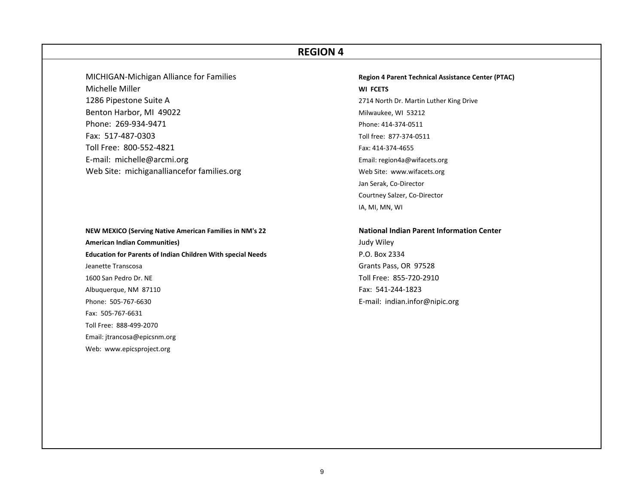MICHIGAN‐Michigan Alliance for Families **Region <sup>4</sup> Parent Technical Assistance Center (PTAC)** Michelle Miller 1286 Pipestone Suite A Benton Harbor, MI 49022 Milwaukee, WI 53212 Phone: 269‐934‐9471Fax: 517‐487‐0303Toll Free: 800‐552‐4821E-mail: michelle@arcmi.org Web Site: michiganalliancefor families.org Web Site: www.wifacets.org

**NEW MEXICO (Serving Native American Families in NM's <sup>22</sup> National Indian Parent Information Center American Indian Communities)** Judy Wiley **Education for Parents of Indian Children With special Needs** P.O. Box 2334 Jeanette Transcosa 1600 San PedroAlbuquerque, NM 87110 Fax: 541-244-1823 Phone: 505‐767‐6630Fax: 505‐767‐6631Toll Free: 888‐499‐2070Email: jtrancosa@epicsnm.org Web: www.epicsproject.org

 Miller **WI FCETS** 2714 North Dr. Martin Luther King Drive Phone: 414‐374‐0511 Toll free: 877‐374‐0511 Fax: 414‐374‐4655 Email: region4a@wifacets.org Jan Serak, Co‐Director Courtney Salzer, Co‐Director IA, MI, MN, WI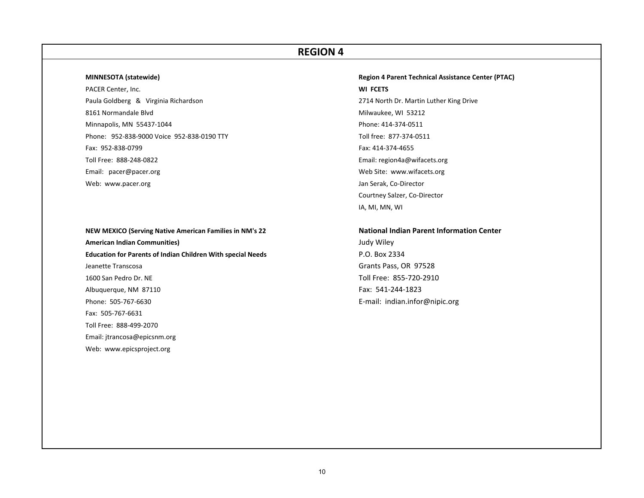#### **MINNESOTA**

PACER Center, Inc. **WI FCETS** Paula Goldberg & Virginia Richardson 8161 Normandale BlvdMinnapolis, MN 55437-1044 **Phone: 414-374-0511** Phone: 952‐838‐9000 Voice 952‐838‐0190 TTY Toll free: 877‐374‐0511 Fax: 952‐838‐0799Toll Free: 888‐248‐0822Email: pacer@pacer.org Web: www.pacer.org

**NEW MEXICO (Serving Native American Families in NM's <sup>22</sup> National Indian Parent Information Center American Indian Communities)** Judy Wiley **Education for Parents of Indian Children With special Needs** P.O. Box 2334 Jeanette Transcosa 1600 San PedroAlbuquerque, NM 87110 Fax: 541-244-1823 Phone: 505‐767‐6630Fax: 505‐767‐6631Toll Free: 888‐499‐2070Email: jtrancosa@epicsnm.org Web: www.epicsproject.org

# **(statewide) Region 4 Parent Technical Assistance Center (PTAC)** 2714 North Dr. Martin Luther King Drive Milwaukee, WI 53212 Fax: 414‐374‐4655 Email: region4a@wifacets.org Web Site: www.wifacets.org Jan Serak, Co-Director Courtney Salzer, Co‐Director IA, MI, MN, WI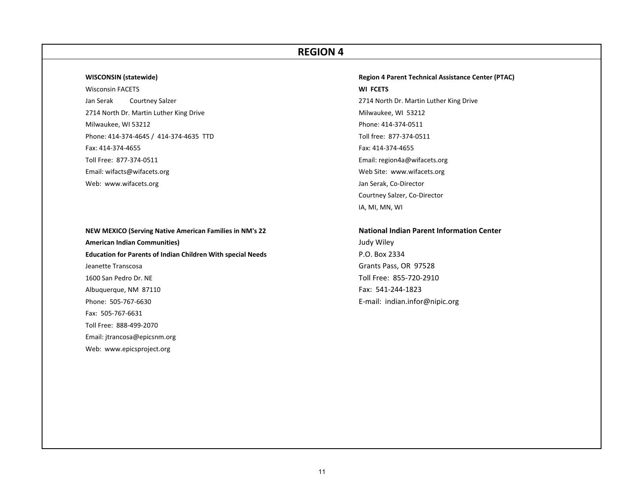#### **WISCONSIN**

**Wisconsin FACETS** Jan Serak 2714 North Dr. Martin Luther King Drive Milwaukee, WI 53212 Milwaukee, WI 53212 Phone: 414‐374‐0511 Phone: 414‐374‐4645 / 414‐374‐4635 TTD Toll free: 877‐374‐0511 Fax: 414‐374‐4655Toll Free: 877‐374‐0511Email: wifacts@wifacets.org Web: www.wifacets.org Jan Serak, Co‐Director Jan Serak, Co‐Director Jan Serak, Co‐Director

**NEW MEXICO (Serving Native American Families in NM's <sup>22</sup> National Indian Parent Information Center American Indian Communities)** Judy Wiley **Education for Parents of Indian Children With special Needs** P.O. Box 2334 Jeanette Transcosa 1600 San PedroAlbuquerque, NM 87110 Fax: 541-244-1823 Phone: 505‐767‐6630Fax: 505‐767‐6631Toll Free: 888‐499‐2070Email: jtrancosa@epicsnm.org Web: www.epicsproject.org

 **(statewide) Region 4 Parent Technical Assistance Center (PTAC)** FACETS **WI FCETS** Courtney Salzer **Courtney Salzer** 2714 North Dr. Martin Luther King Drive Fax: 414‐374‐4655 Email: region4a@wifacets.org Web Site: www.wifacets.org Courtney Salzer, Co‐Director IA, MI, MN, WI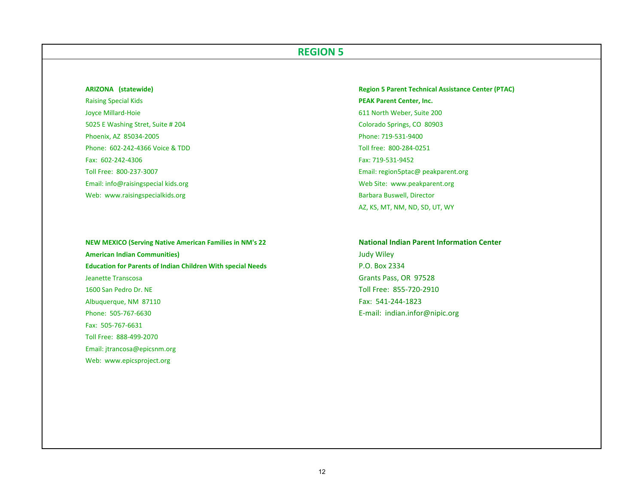### **ARIZONA**

Raising Special Kids **PEAK Parent Center, Inc.** Joyce Millard‐Hoie 611 North Weber, Suite 200 5025 E Washing Stret, Suite # 204 Colorado Springs, CO 80903 Phoenix, AZ 85034-2005 Phoenix, AZ 85034-2005 Phone: 602‐242‐4366 Voice &Fax: 602‐242‐4306Toll Free: 800‐237‐3007Email: info@raisingspecial kids.org Web: www.raisingspecialkids.org Barbara Buswell, Director Barbara Buswell, Director

**NEW MEXICO (Serving Native American Families in NM's <sup>22</sup> National Indian Parent Information Center American Indian Communities)** Judy Wiley **Education for Parents of Indian Children With special Needs** P.O. Box 2334 Jeanette Transcosa 1600 San PedroAlbuquerque, NM 87110 **Fax: 541-244-1823** Phone: 505‐767‐6630Fax: 505‐767‐6631Toll Free: 888‐499‐2070Email: jtrancosa@epicsnm.org Web: www.epicsproject.org

 **(statewide) Region 5 Parent Technical Assistance Center (PTAC)** Toll free: 800-284-0251 Fax: 719‐531‐9452 Email: region5ptac@ peakparent.org Web Site: www.peakparent.org AZ, KS, MT, NM, ND, SD, UT, WY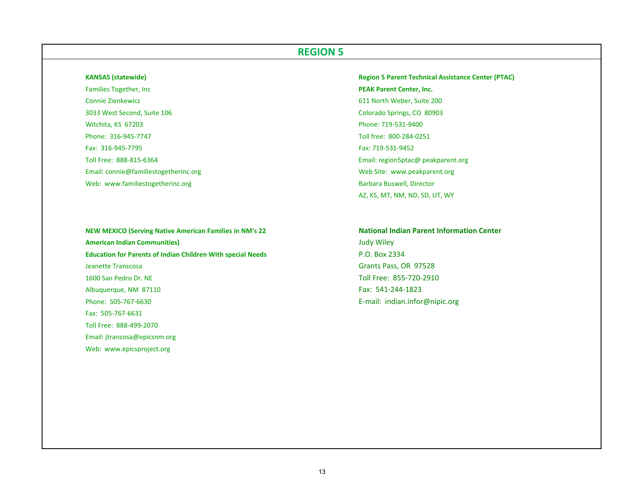#### **KANSAS**

**Families Together, Inc.** Connie Zienkewicz 6113033 West Second, Suite 106 Witchita, KS 67203 Phone: 719‐531‐9400 Phone: 316‐945‐7747Fax: 316‐945‐7795Toll Free: 888‐815‐6364Email: connie@familiestogetherinc.org New York New York New York New York New York New York New York New York N Web: www.familiestogetherinc.org Barbara Buswell, Director Barbara Buswell, Director

**NEW MEXICO (Serving Native American Families in NM's <sup>22</sup> National Indian Parent Information Center American Indian Communities)** Judy Wiley **Education for Parents of Indian Children With special Needs** P.O. Box 2334 **Jeanette Transcosa** 1600 San PedroAlbuquerque, NM 87110 Fax: 541-244-1823 Phone: 505‐767‐6630Fax: 505‐767‐6631Toll Free: 888‐499‐2070Email: jtrancosa@epicsnm.org Web: www.epicsproject.org

 **(statewide) Region 5 Parent Technical Assistance Center (PTAC) PEAK Parent Center, Inc.** 1 North Weber, Suite 200 Colorado Springs, CO 80903 Toll free: 800‐284‐0251 Fax: 719‐531‐9452 Email: region5ptac@ peakparent.org AZ, KS, MT, NM, ND, SD, UT, WY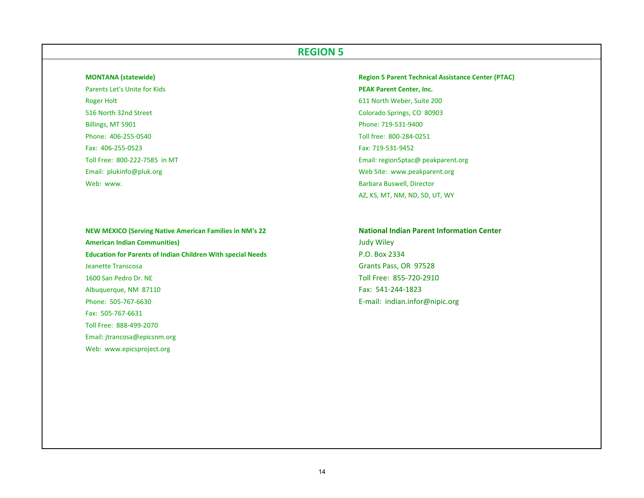#### **MONTANA**

Parents Let's Unite for Kids **PEAK**Roger Holt **Example 200** North Weber, Suite 200 516 North 32nd Street ColoradoBillings, MT 5901 Phone: 719‐531‐9400 Phone: 406‐255‐0540Fax: 406‐255‐0523Toll Free: 800‐222‐7585 inEmail: plukinfo@pluk.org Web: www. www. Barbara

**NEW MEXICO (Serving Native American Families in NM's <sup>22</sup> National Indian Parent Information Center American Indian Communities)** Judy Wiley **Education for Parents of Indian Children With special Needs** P.O. Box 2334 **Jeanette Transcosa** 1600 San PedroAlbuquerque, NM 87110 Fax: 541-244-1823 Phone: 505‐767‐6630Fax: 505‐767‐6631Toll Free: 888‐499‐2070Email: jtrancosa@epicsnm.org Web: www.epicsproject.org

 **(statewide) Region 5 Parent Technical Assistance Center (PTAC) PEAK Parent Center, Inc.** Colorado Springs, CO 80903 Toll free: 800‐284‐0251 Fax: 719‐531‐9452 Email: region5ptac@ peakparent.org Web Site: www.peakparent.org Barbara Buswell, Director AZ, KS, MT, NM, ND, SD, UT, WY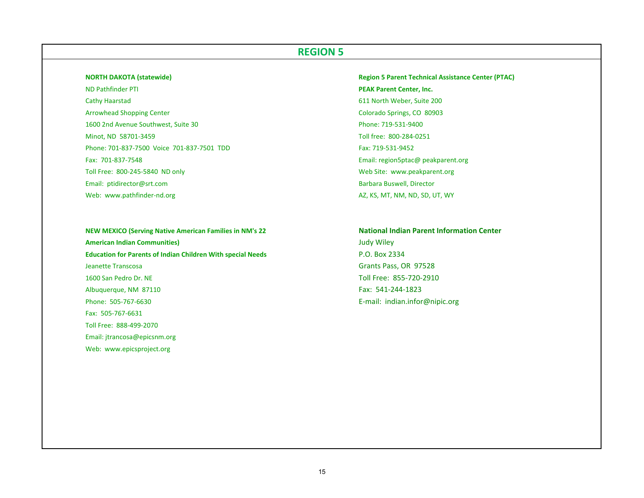#### **NORTH DAKOTA (statewide)**

**ND Pathfinder PTI** Cathy Haarstad 611 North Weber, Suite 200 **Arrowhead Shopping Center** 1600 2nd Avenue Southwest, Suite 30 Phone: 719‐531‐9400 Minot, ND 58701‐3459 Toll free: 800‐284‐0251 Phone: 701‐837‐7500 Voice 701‐837‐7501 TDDFax: 701‐837‐7548Toll Free: 800‐245‐5840 NDEmail: ptidirector@srt.com Web: www.pathfinder-nd.org

**NEW MEXICO (Serving Native American Families in NM's <sup>22</sup> National Indian Parent Information Center American Indian Communities)** Judy Wiley **Education for Parents of Indian Children With special Needs** P.O. Box 2334 **Jeanette Transcosa** 1600 San PedroAlbuquerque, NM 87110 Fax: 541-244-1823 Phone: 505‐767‐6630Fax: 505‐767‐6631Toll Free: 888‐499‐2070Email: jtrancosa@epicsnm.org Web: www.epicsproject.org

 **DAKOTA (statewide) Region 5 Parent Technical Assistance Center (PTAC) PEAK Parent Center, Inc.** Colorado Springs, CO 80903 Fax: 719‐531‐9452 Email: region5ptac@ peakparent.org Web Site: www.peakparent.org Barbara Buswell, Director AZ, KS, MT, NM, ND, SD, UT, WY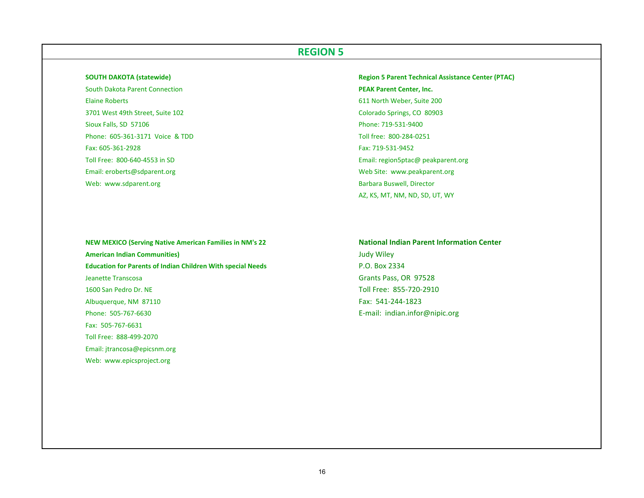#### **SOUTH DAKOTA (statewide)**

South Dakota Parent Connection **PEAK**Elaine Roberts 6113701 West 49thSioux Falls, SD 57106 Phone: 605‐361‐3171 Voice &Fax: 605‐361‐2928Toll Free: 800‐640‐4553 in SDEmail: eroberts@sdparent.org

Web: www.sdparent.org

 **DAKOTA (statewide) Region 5 Parent Technical Assistance Center (PTAC) PEAK Parent Center, Inc.** 1 North Weber, Suite 200 Colorado Springs, CO 80903 Phone: 719-531-9400 Toll free: 800-284-0251 Fax: 719‐531‐9452 Email: region5ptac@ peakparent.org Web Site: www.peakparent.org Barbara Buswell, Director AZ, KS, MT, NM, ND, SD, UT, WY

**NEW MEXICO (Serving Native American Families in NM's <sup>22</sup> National Indian Parent Information Center American Indian Communities)** Judy Wiley **Education for Parents of Indian Children With special Needs** P.O. Box 2334 Jeanette Transcosa 1600 San PedroAlbuquerque, NM 87110 **Fax: 541-244-1823** Phone: 505‐767‐6630Fax: 505‐767‐6631Toll Free: 888‐499‐2070Email: jtrancosa@epicsnm.org Web: www.epicsproject.org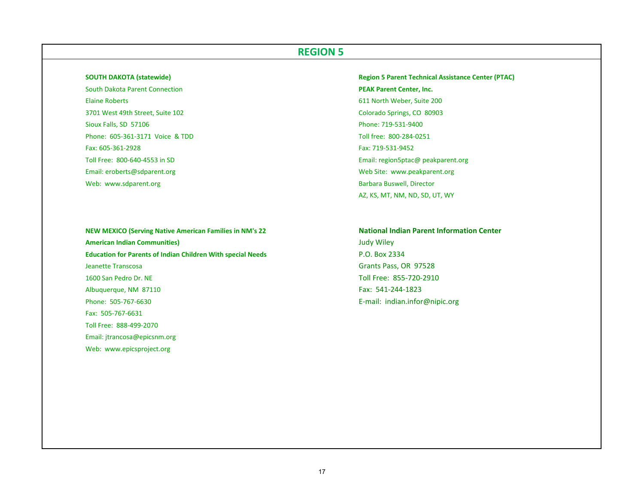#### **SOUTH DAKOTA (statewide)**

South Dakota Parent Connection **PEAK**Elaine Roberts 6113701 West 49thSioux Falls, SD 57106 Phone: 605‐361‐3171 Voice &Fax: 605‐361‐2928Toll Free: 800‐640‐4553 in SDEmail: eroberts@sdparent.org

Web: www.sdparent.org

**NEW MEXICO (Serving Native American Families in NM's <sup>22</sup> National Indian Parent Information Center American Indian Communities)** Judy Wiley **Education for Parents of Indian Children With special Needs** P.O. Box 2334 **Jeanette Transcosa** 1600 San PedroAlbuquerque, NM 87110 Fax: 541-244-1823 Phone: 505‐767‐6630Fax: 505‐767‐6631Toll Free: 888‐499‐2070Email: jtrancosa@epicsnm.org Web: www.epicsproject.org

 **DAKOTA (statewide) Region 5 Parent Technical Assistance Center (PTAC) PEAK Parent Center, Inc.** 1 North Weber, Suite 200 Colorado Springs, CO 80903 Phone: 719-531-9400 Toll free: 800-284-0251 Fax: 719‐531‐9452 Email: region5ptac@ peakparent.org Web Site: www.peakparent.org Barbara Buswell, Director AZ, KS, MT, NM, ND, SD, UT, WY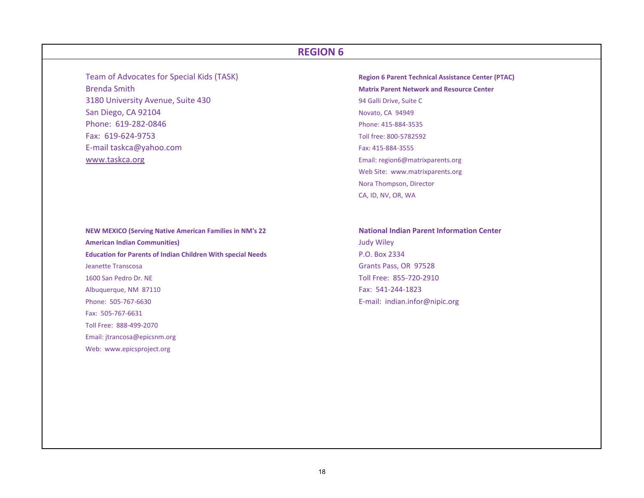**Team of Advocates for Special Kids (TASK)** Brenda Smith3180 University Avenue, Suite 430 <sup>94</sup> Galli Drive, Suite <sup>C</sup> San Diego, CA 92104 Novato, CA 94949 Phone: 619‐282‐0846Fax: 619‐624‐9753E‐mail taskca@yahoo.com Fax: <sup>415</sup>‐884‐<sup>3555</sup> www.taskca.org email: region6@matrixparents.org Email: region6@matrixparents.org

**NEW MEXICO (Serving Native American Families in NM's <sup>22</sup> National Indian Parent Information Center American Indian Communities)** Judy Wiley **Education for Parents of Indian Children With special Needs** P.O. Box 2334 Jeanette1600 San PedroAlbuquerque, NM 87110 Fax: 541-244-1823 Phone: 505‐767‐6630Fax: 505‐767‐6631Toll Free: 888‐499‐2070Email: jtrancosa@epicsnm.org Web: www.epicsproject.org

 of Advocates for Special Kids (TASK) **Region <sup>6</sup> Parent Technical Assistance Center (PTAC) Matrix Parent Network and Resource Center** Phone: 415‐884‐3535 Toll free: 800‐5782592 Web Site: www.matrixparents.org Nora Thompson, Director CA, ID, NV, OR, WA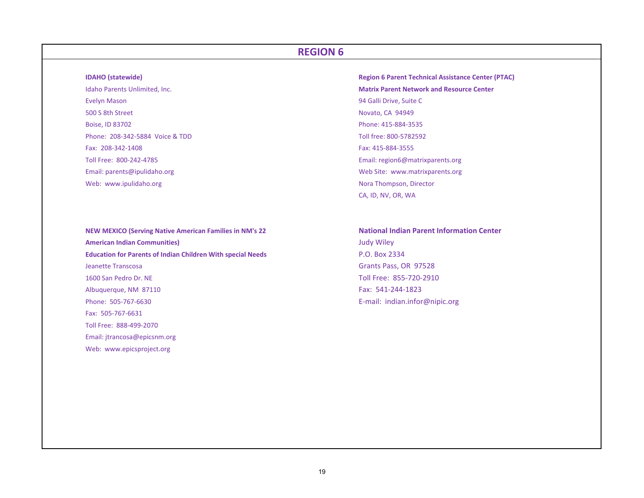#### **IDAHO**

Idaho Parents Unlimited, Inc. Evelyn Mason 94 Galli Drive, Suite C 500 S 8thBoise, ID 83702 Phone: 415‐884‐3535 Phone: 208‐342‐5884 Voice &Fax: 208‐342‐1408Toll Free: 800‐242‐4785Email: parents@ipulidaho.org Web: www.ipulidaho.org

**NEW MEXICO (Serving Native American Families in NM's <sup>22</sup> National Indian Parent Information Center American Indian Communities)** Judy Wiley **Education for Parents of Indian Children With special Needs** P.O. Box 2334 Jeanette1600 San PedroAlbuquerque, NM 87110 Fax: 541-244-1823 Phone: 505‐767‐6630Fax: 505‐767‐6631Toll Free: 888‐499‐2070Email: jtrancosa@epicsnm.org Web: www.epicsproject.org

 **(statewide) Region 6 Parent Technical Assistance Center (PTAC) Matrix Parent Network and Resource Center** Novato, CA 94949 Toll free: 800-5782592 Fax: 415‐884‐3555 Email: region6@matrixparents.org Web Site: www.matrixparents.org Nora Thompson, Director CA, ID, NV, OR, WA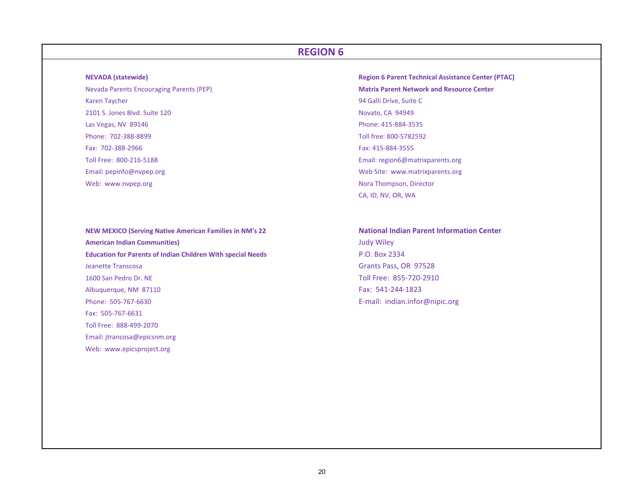#### **NEVADA**

**Nevada Parents Encouraging Parents (PEP)** Karen Taycher 2101 S. Jones Blvd. Suite 120 Novato, CA 94949 Las Vegas, NV 89146 Phone: 415‐884‐3535 Phone: 702‐388‐8899Fax: 702‐388‐2966Toll Free: 800‐216‐5188Email: pepinfo@nvpep.org Web: www.nvpep.org

**NEW MEXICO (Serving Native American Families in NM's <sup>22</sup> National Indian Parent Information Center American Indian Communities)** Judy Wiley **Education for Parents of Indian Children With special Needs** P.O. Box 2334 Jeanette1600 San PedroAlbuquerque, NM 87110 Fax: 541-244-1823 Phone: 505‐767‐6630Fax: 505‐767‐6631Toll Free: 888‐499‐2070Email: jtrancosa@epicsnm.org Web: www.epicsproject.org

 **(statewide) Region 6 Parent Technical Assistance Center (PTAC) Matrix Parent Network and Resource Center** 94 Galli Drive, Suite C Toll free: 800‐5782592 Fax: 415‐884‐3555 Email: region6@matrixparents.org Web Site: www.matrixparents.org Nora Thompson, Director CA, ID, NV, OR, WA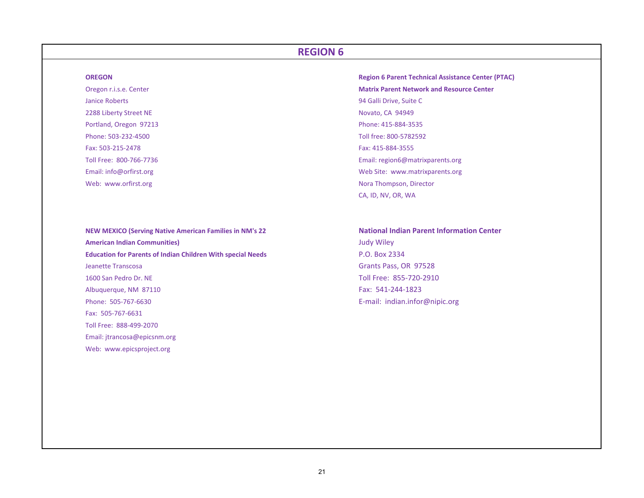#### **OREGON**

Janice Roberts 942288 Liberty Street NE Portland, Oregon 97213 Phone: 415‐884‐3535 Phone: 503‐232‐4500Fax: 503‐215‐2478Toll Free: 800‐766‐7736Email: info@orfirst.org Web: www.orfirst.org

**NEW MEXICO (Serving Native American Families in NM's <sup>22</sup> National Indian Parent Information Center American Indian Communities)** Judy Wiley **Education for Parents of Indian Children With special Needs** P.O. Box 2334 Jeanette1600 San PedroAlbuquerque, NM 87110 Fax: 541-244-1823 Phone: 505‐767‐6630Fax: 505‐767‐6631Toll Free: 888‐499‐2070Email: jtrancosa@epicsnm.org Web: www.epicsproject.org

 **Region 6 Parent Technical Assistance Center (PTAC)** Oregon r.i.s.e. Center **Matrix Parent Network and Resource Center** 94 Galli Drive, Suite C Novato, CA 94949 Toll free: 800‐5782592 Fax: 415‐884‐3555 Email: region6@matrixparents.org Web Site: www.matrixparents.org Nora Thompson, Director CA, ID, NV, OR, WA